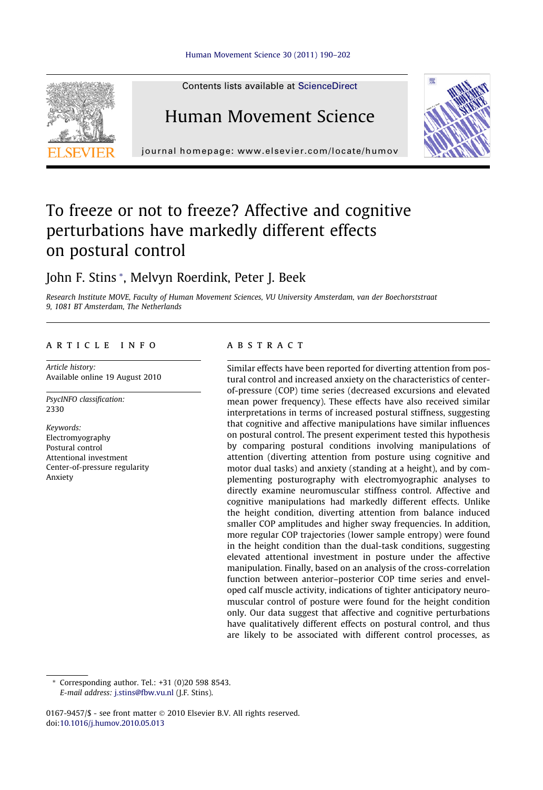

Contents lists available at [ScienceDirect](http://www.sciencedirect.com/science/journal/01679457)

## Human Movement Science

journal homepage: [www.elsevier.com/locate/humov](http://www.elsevier.com/locate/humov)

# To freeze or not to freeze? Affective and cognitive perturbations have markedly different effects on postural control

## John F. Stins \*, Melvyn Roerdink, Peter J. Beek

Research Institute MOVE, Faculty of Human Movement Sciences, VU University Amsterdam, van der Boechorststraat 9, 1081 BT Amsterdam, The Netherlands

## article info

Article history: Available online 19 August 2010

PsycINFO classification: 2330

Keywords: Electromyography Postural control Attentional investment Center-of-pressure regularity Anxiety

## **ABSTRACT**

Similar effects have been reported for diverting attention from postural control and increased anxiety on the characteristics of centerof-pressure (COP) time series (decreased excursions and elevated mean power frequency). These effects have also received similar interpretations in terms of increased postural stiffness, suggesting that cognitive and affective manipulations have similar influences on postural control. The present experiment tested this hypothesis by comparing postural conditions involving manipulations of attention (diverting attention from posture using cognitive and motor dual tasks) and anxiety (standing at a height), and by complementing posturography with electromyographic analyses to directly examine neuromuscular stiffness control. Affective and cognitive manipulations had markedly different effects. Unlike the height condition, diverting attention from balance induced smaller COP amplitudes and higher sway frequencies. In addition, more regular COP trajectories (lower sample entropy) were found in the height condition than the dual-task conditions, suggesting elevated attentional investment in posture under the affective manipulation. Finally, based on an analysis of the cross-correlation function between anterior–posterior COP time series and enveloped calf muscle activity, indications of tighter anticipatory neuromuscular control of posture were found for the height condition only. Our data suggest that affective and cognitive perturbations have qualitatively different effects on postural control, and thus are likely to be associated with different control processes, as

Corresponding author. Tel.:  $+31$  (0)20 598 8543. E-mail address: [j.stins@fbw.vu.nl](mailto:j.stins@fbw.vu.nl) (J.F. Stins).

0167-9457/\$ - see front matter © 2010 Elsevier B.V. All rights reserved. doi:[10.1016/j.humov.2010.05.013](http://dx.doi.org/10.1016/j.humov.2010.05.013)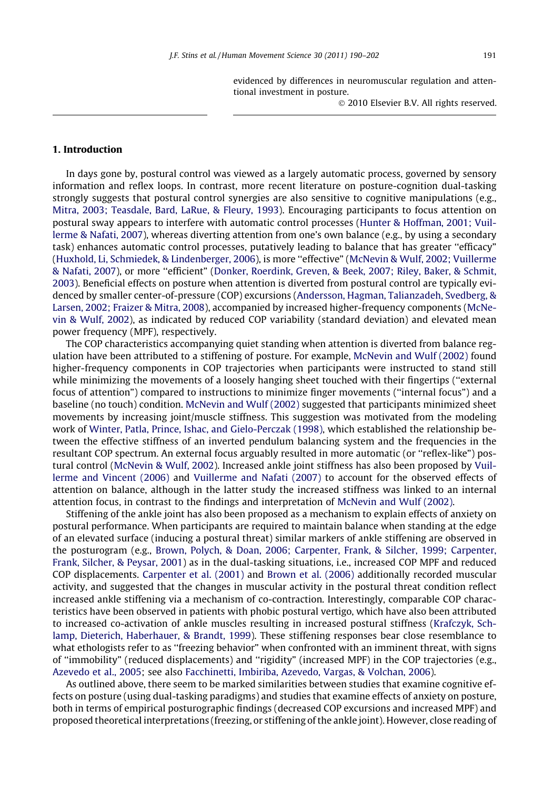evidenced by differences in neuromuscular regulation and attentional investment in posture.

- 2010 Elsevier B.V. All rights reserved.

## 1. Introduction

In days gone by, postural control was viewed as a largely automatic process, governed by sensory information and reflex loops. In contrast, more recent literature on posture-cognition dual-tasking strongly suggests that postural control synergies are also sensitive to cognitive manipulations (e.g., [Mitra, 2003; Teasdale, Bard, LaRue, & Fleury, 1993](#page-12-0)). Encouraging participants to focus attention on postural sway appears to interfere with automatic control processes [\(Hunter & Hoffman, 2001; Vuil](#page-11-0)[lerme & Nafati, 2007](#page-11-0)), whereas diverting attention from one's own balance (e.g., by using a secondary task) enhances automatic control processes, putatively leading to balance that has greater ''efficacy" [\(Huxhold, Li, Schmiedek, & Lindenberger, 2006](#page-11-0)), is more ''effective" [\(McNevin & Wulf, 2002; Vuillerme](#page-12-0) [& Nafati, 2007](#page-12-0)), or more ''efficient" ([Donker, Roerdink, Greven, & Beek, 2007; Riley, Baker, & Schmit,](#page-11-0) [2003](#page-11-0)). Beneficial effects on posture when attention is diverted from postural control are typically evidenced by smaller center-of-pressure (COP) excursions ([Andersson, Hagman, Talianzadeh, Svedberg, &](#page-11-0) [Larsen, 2002; Fraizer & Mitra, 2008](#page-11-0)), accompanied by increased higher-frequency components ([McNe](#page-12-0)[vin & Wulf, 2002](#page-12-0)), as indicated by reduced COP variability (standard deviation) and elevated mean power frequency (MPF), respectively.

The COP characteristics accompanying quiet standing when attention is diverted from balance regulation have been attributed to a stiffening of posture. For example, [McNevin and Wulf \(2002\)](#page-12-0) found higher-frequency components in COP trajectories when participants were instructed to stand still while minimizing the movements of a loosely hanging sheet touched with their fingertips (''external focus of attention") compared to instructions to minimize finger movements (''internal focus") and a baseline (no touch) condition. [McNevin and Wulf \(2002\)](#page-12-0) suggested that participants minimized sheet movements by increasing joint/muscle stiffness. This suggestion was motivated from the modeling work of [Winter, Patla, Prince, Ishac, and Gielo-Perczak \(1998\)](#page-12-0), which established the relationship between the effective stiffness of an inverted pendulum balancing system and the frequencies in the resultant COP spectrum. An external focus arguably resulted in more automatic (or ''reflex-like") postural control [\(McNevin & Wulf, 2002](#page-12-0)). Increased ankle joint stiffness has also been proposed by [Vuil](#page-12-0)[lerme and Vincent \(2006\)](#page-12-0) and [Vuillerme and Nafati \(2007\)](#page-12-0) to account for the observed effects of attention on balance, although in the latter study the increased stiffness was linked to an internal attention focus, in contrast to the findings and interpretation of [McNevin and Wulf \(2002\)](#page-12-0).

Stiffening of the ankle joint has also been proposed as a mechanism to explain effects of anxiety on postural performance. When participants are required to maintain balance when standing at the edge of an elevated surface (inducing a postural threat) similar markers of ankle stiffening are observed in the posturogram (e.g., [Brown, Polych, & Doan, 2006; Carpenter, Frank, & Silcher, 1999; Carpenter,](#page-11-0) [Frank, Silcher, & Peysar, 2001\)](#page-11-0) as in the dual-tasking situations, i.e., increased COP MPF and reduced COP displacements. [Carpenter et al. \(2001\)](#page-11-0) and [Brown et al. \(2006\)](#page-11-0) additionally recorded muscular activity, and suggested that the changes in muscular activity in the postural threat condition reflect increased ankle stiffening via a mechanism of co-contraction. Interestingly, comparable COP characteristics have been observed in patients with phobic postural vertigo, which have also been attributed to increased co-activation of ankle muscles resulting in increased postural stiffness ([Krafczyk, Sch](#page-11-0)[lamp, Dieterich, Haberhauer, & Brandt, 1999](#page-11-0)). These stiffening responses bear close resemblance to what ethologists refer to as ''freezing behavior" when confronted with an imminent threat, with signs of ''immobility" (reduced displacements) and ''rigidity" (increased MPF) in the COP trajectories (e.g., [Azevedo et al., 2005;](#page-11-0) see also [Facchinetti, Imbiriba, Azevedo, Vargas, & Volchan, 2006](#page-11-0)).

As outlined above, there seem to be marked similarities between studies that examine cognitive effects on posture (using dual-tasking paradigms) and studies that examine effects of anxiety on posture, both in terms of empirical posturographic findings (decreased COP excursions and increased MPF) and proposed theoretical interpretations (freezing, or stiffening of the ankle joint). However, close reading of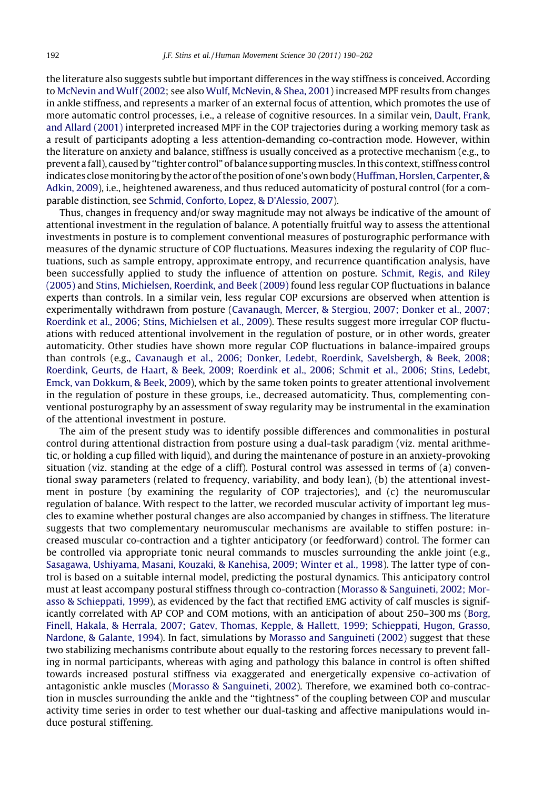the literature also suggests subtle but important differences in the way stiffness is conceived. According to [McNevin and Wulf \(2002;](#page-12-0) see also [Wulf, McNevin, & Shea, 2001\)](#page-12-0) increased MPF results from changes in ankle stiffness, and represents a marker of an external focus of attention, which promotes the use of more automatic control processes, i.e., a release of cognitive resources. In a similar vein, [Dault, Frank,](#page-11-0) [and Allard \(2001\)](#page-11-0) interpreted increased MPF in the COP trajectories during a working memory task as a result of participants adopting a less attention-demanding co-contraction mode. However, within the literature on anxiety and balance, stiffness is usually conceived as a protective mechanism (e.g., to prevent a fall), caused by ''tighter control" of balance supportingmuscles. In this context, stiffness control indicates close monitoring by the actor of the position of one's own body [\(Huffman, Horslen, Carpenter, &](#page-11-0) [Adkin, 2009\)](#page-11-0), i.e., heightened awareness, and thus reduced automaticity of postural control (for a comparable distinction, see [Schmid, Conforto, Lopez, & D'Alessio, 2007](#page-12-0)).

Thus, changes in frequency and/or sway magnitude may not always be indicative of the amount of attentional investment in the regulation of balance. A potentially fruitful way to assess the attentional investments in posture is to complement conventional measures of posturographic performance with measures of the dynamic structure of COP fluctuations. Measures indexing the regularity of COP fluctuations, such as sample entropy, approximate entropy, and recurrence quantification analysis, have been successfully applied to study the influence of attention on posture. [Schmit, Regis, and Riley](#page-12-0) [\(2005\)](#page-12-0) and [Stins, Michielsen, Roerdink, and Beek \(2009\)](#page-12-0) found less regular COP fluctuations in balance experts than controls. In a similar vein, less regular COP excursions are observed when attention is experimentally withdrawn from posture [\(Cavanaugh, Mercer, & Stergiou, 2007; Donker et al., 2007;](#page-11-0) [Roerdink et al., 2006; Stins, Michielsen et al., 2009](#page-11-0)). These results suggest more irregular COP fluctuations with reduced attentional involvement in the regulation of posture, or in other words, greater automaticity. Other studies have shown more regular COP fluctuations in balance-impaired groups than controls (e.g., [Cavanaugh et al., 2006; Donker, Ledebt, Roerdink, Savelsbergh, & Beek, 2008;](#page-11-0) [Roerdink, Geurts, de Haart, & Beek, 2009; Roerdink et al., 2006; Schmit et al., 2006; Stins, Ledebt,](#page-11-0) [Emck, van Dokkum, & Beek, 2009](#page-11-0)), which by the same token points to greater attentional involvement in the regulation of posture in these groups, i.e., decreased automaticity. Thus, complementing conventional posturography by an assessment of sway regularity may be instrumental in the examination of the attentional investment in posture.

The aim of the present study was to identify possible differences and commonalities in postural control during attentional distraction from posture using a dual-task paradigm (viz. mental arithmetic, or holding a cup filled with liquid), and during the maintenance of posture in an anxiety-provoking situation (viz. standing at the edge of a cliff). Postural control was assessed in terms of (a) conventional sway parameters (related to frequency, variability, and body lean), (b) the attentional investment in posture (by examining the regularity of COP trajectories), and (c) the neuromuscular regulation of balance. With respect to the latter, we recorded muscular activity of important leg muscles to examine whether postural changes are also accompanied by changes in stiffness. The literature suggests that two complementary neuromuscular mechanisms are available to stiffen posture: increased muscular co-contraction and a tighter anticipatory (or feedforward) control. The former can be controlled via appropriate tonic neural commands to muscles surrounding the ankle joint (e.g., [Sasagawa, Ushiyama, Masani, Kouzaki, & Kanehisa, 2009; Winter et al., 1998](#page-12-0)). The latter type of control is based on a suitable internal model, predicting the postural dynamics. This anticipatory control must at least accompany postural stiffness through co-contraction [\(Morasso & Sanguineti, 2002; Mor](#page-12-0)[asso & Schieppati, 1999\)](#page-12-0), as evidenced by the fact that rectified EMG activity of calf muscles is significantly correlated with AP COP and COM motions, with an anticipation of about 250–300 ms [\(Borg,](#page-11-0) [Finell, Hakala, & Herrala, 2007; Gatev, Thomas, Kepple, & Hallett, 1999; Schieppati, Hugon, Grasso,](#page-11-0) [Nardone, & Galante, 1994](#page-11-0)). In fact, simulations by [Morasso and Sanguineti \(2002\)](#page-12-0) suggest that these two stabilizing mechanisms contribute about equally to the restoring forces necessary to prevent falling in normal participants, whereas with aging and pathology this balance in control is often shifted towards increased postural stiffness via exaggerated and energetically expensive co-activation of antagonistic ankle muscles ([Morasso & Sanguineti, 2002\)](#page-12-0). Therefore, we examined both co-contraction in muscles surrounding the ankle and the ''tightness" of the coupling between COP and muscular activity time series in order to test whether our dual-tasking and affective manipulations would induce postural stiffening.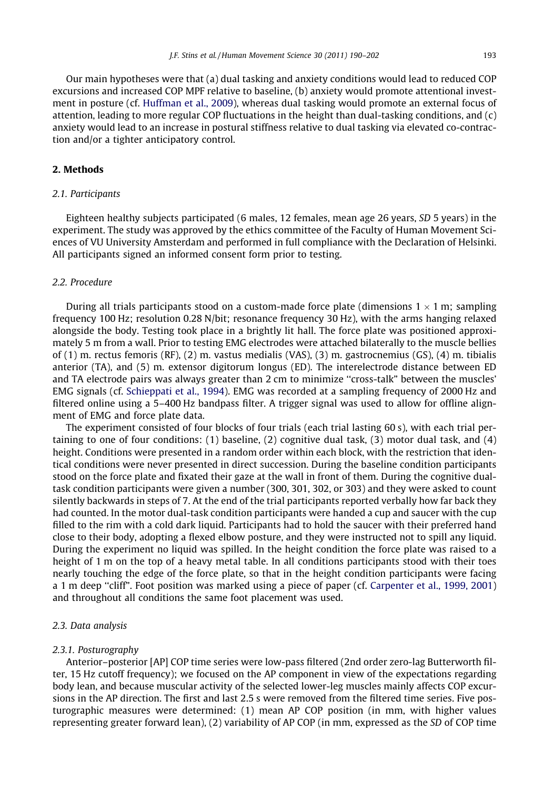Our main hypotheses were that (a) dual tasking and anxiety conditions would lead to reduced COP excursions and increased COP MPF relative to baseline, (b) anxiety would promote attentional investment in posture (cf. [Huffman et al., 2009\)](#page-11-0), whereas dual tasking would promote an external focus of attention, leading to more regular COP fluctuations in the height than dual-tasking conditions, and (c) anxiety would lead to an increase in postural stiffness relative to dual tasking via elevated co-contraction and/or a tighter anticipatory control.

## 2. Methods

## 2.1. Participants

Eighteen healthy subjects participated (6 males, 12 females, mean age 26 years, SD 5 years) in the experiment. The study was approved by the ethics committee of the Faculty of Human Movement Sciences of VU University Amsterdam and performed in full compliance with the Declaration of Helsinki. All participants signed an informed consent form prior to testing.

## 2.2. Procedure

During all trials participants stood on a custom-made force plate (dimensions 1  $\times$  1 m; sampling frequency 100 Hz; resolution 0.28 N/bit; resonance frequency 30 Hz), with the arms hanging relaxed alongside the body. Testing took place in a brightly lit hall. The force plate was positioned approximately 5 m from a wall. Prior to testing EMG electrodes were attached bilaterally to the muscle bellies of (1) m. rectus femoris (RF), (2) m. vastus medialis (VAS), (3) m. gastrocnemius (GS), (4) m. tibialis anterior (TA), and (5) m. extensor digitorum longus (ED). The interelectrode distance between ED and TA electrode pairs was always greater than 2 cm to minimize ''cross-talk" between the muscles' EMG signals (cf. [Schieppati et al., 1994](#page-12-0)). EMG was recorded at a sampling frequency of 2000 Hz and filtered online using a 5–400 Hz bandpass filter. A trigger signal was used to allow for offline alignment of EMG and force plate data.

The experiment consisted of four blocks of four trials (each trial lasting 60 s), with each trial pertaining to one of four conditions: (1) baseline, (2) cognitive dual task, (3) motor dual task, and (4) height. Conditions were presented in a random order within each block, with the restriction that identical conditions were never presented in direct succession. During the baseline condition participants stood on the force plate and fixated their gaze at the wall in front of them. During the cognitive dualtask condition participants were given a number (300, 301, 302, or 303) and they were asked to count silently backwards in steps of 7. At the end of the trial participants reported verbally how far back they had counted. In the motor dual-task condition participants were handed a cup and saucer with the cup filled to the rim with a cold dark liquid. Participants had to hold the saucer with their preferred hand close to their body, adopting a flexed elbow posture, and they were instructed not to spill any liquid. During the experiment no liquid was spilled. In the height condition the force plate was raised to a height of 1 m on the top of a heavy metal table. In all conditions participants stood with their toes nearly touching the edge of the force plate, so that in the height condition participants were facing a 1 m deep ''cliff". Foot position was marked using a piece of paper (cf. [Carpenter et al., 1999, 2001\)](#page-11-0) and throughout all conditions the same foot placement was used.

#### 2.3. Data analysis

#### 2.3.1. Posturography

Anterior–posterior [AP] COP time series were low-pass filtered (2nd order zero-lag Butterworth filter, 15 Hz cutoff frequency); we focused on the AP component in view of the expectations regarding body lean, and because muscular activity of the selected lower-leg muscles mainly affects COP excursions in the AP direction. The first and last 2.5 s were removed from the filtered time series. Five posturographic measures were determined: (1) mean AP COP position (in mm, with higher values representing greater forward lean), (2) variability of AP COP (in mm, expressed as the SD of COP time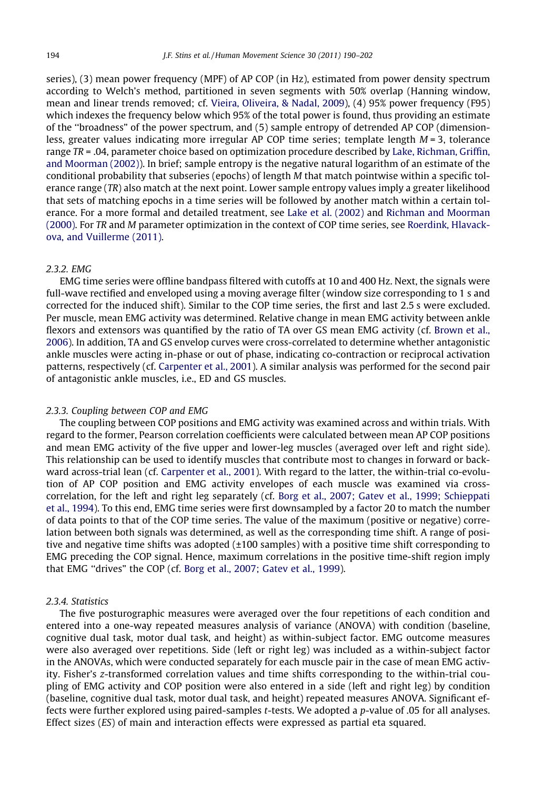series), (3) mean power frequency (MPF) of AP COP (in Hz), estimated from power density spectrum according to Welch's method, partitioned in seven segments with 50% overlap (Hanning window, mean and linear trends removed; cf. [Vieira, Oliveira, & Nadal, 2009\)](#page-12-0), (4) 95% power frequency (F95) which indexes the frequency below which 95% of the total power is found, thus providing an estimate of the ''broadness" of the power spectrum, and (5) sample entropy of detrended AP COP (dimensionless, greater values indicating more irregular AP COP time series; template length  $M = 3$ , tolerance range TR = .04, parameter choice based on optimization procedure described by [Lake, Richman, Griffin,](#page-12-0) [and Moorman \(2002\)\)](#page-12-0). In brief; sample entropy is the negative natural logarithm of an estimate of the conditional probability that subseries (epochs) of length M that match pointwise within a specific tolerance range (TR) also match at the next point. Lower sample entropy values imply a greater likelihood that sets of matching epochs in a time series will be followed by another match within a certain tolerance. For a more formal and detailed treatment, see [Lake et al. \(2002\)](#page-12-0) and [Richman and Moorman](#page-12-0) [\(2000\).](#page-12-0) For TR and M parameter optimization in the context of COP time series, see Roerdink, Hlavackova, and Vuillerme (2011).

## 2.3.2. EMG

EMG time series were offline bandpass filtered with cutoffs at 10 and 400 Hz. Next, the signals were full-wave rectified and enveloped using a moving average filter (window size corresponding to 1 s and corrected for the induced shift). Similar to the COP time series, the first and last 2.5 s were excluded. Per muscle, mean EMG activity was determined. Relative change in mean EMG activity between ankle flexors and extensors was quantified by the ratio of TA over GS mean EMG activity (cf. [Brown et al.,](#page-11-0) [2006\)](#page-11-0). In addition, TA and GS envelop curves were cross-correlated to determine whether antagonistic ankle muscles were acting in-phase or out of phase, indicating co-contraction or reciprocal activation patterns, respectively (cf. [Carpenter et al., 2001](#page-11-0)). A similar analysis was performed for the second pair of antagonistic ankle muscles, i.e., ED and GS muscles.

## 2.3.3. Coupling between COP and EMG

The coupling between COP positions and EMG activity was examined across and within trials. With regard to the former, Pearson correlation coefficients were calculated between mean AP COP positions and mean EMG activity of the five upper and lower-leg muscles (averaged over left and right side). This relationship can be used to identify muscles that contribute most to changes in forward or backward across-trial lean (cf. [Carpenter et al., 2001](#page-11-0)). With regard to the latter, the within-trial co-evolution of AP COP position and EMG activity envelopes of each muscle was examined via crosscorrelation, for the left and right leg separately (cf. [Borg et al., 2007; Gatev et al., 1999; Schieppati](#page-11-0) [et al., 1994\)](#page-11-0). To this end, EMG time series were first downsampled by a factor 20 to match the number of data points to that of the COP time series. The value of the maximum (positive or negative) correlation between both signals was determined, as well as the corresponding time shift. A range of positive and negative time shifts was adopted  $(\pm 100 \text{ samples})$  with a positive time shift corresponding to EMG preceding the COP signal. Hence, maximum correlations in the positive time-shift region imply that EMG ''drives" the COP (cf. [Borg et al., 2007; Gatev et al., 1999\)](#page-11-0).

#### 2.3.4. Statistics

The five posturographic measures were averaged over the four repetitions of each condition and entered into a one-way repeated measures analysis of variance (ANOVA) with condition (baseline, cognitive dual task, motor dual task, and height) as within-subject factor. EMG outcome measures were also averaged over repetitions. Side (left or right leg) was included as a within-subject factor in the ANOVAs, which were conducted separately for each muscle pair in the case of mean EMG activity. Fisher's z-transformed correlation values and time shifts corresponding to the within-trial coupling of EMG activity and COP position were also entered in a side (left and right leg) by condition (baseline, cognitive dual task, motor dual task, and height) repeated measures ANOVA. Significant effects were further explored using paired-samples t-tests. We adopted a p-value of .05 for all analyses. Effect sizes (ES) of main and interaction effects were expressed as partial eta squared.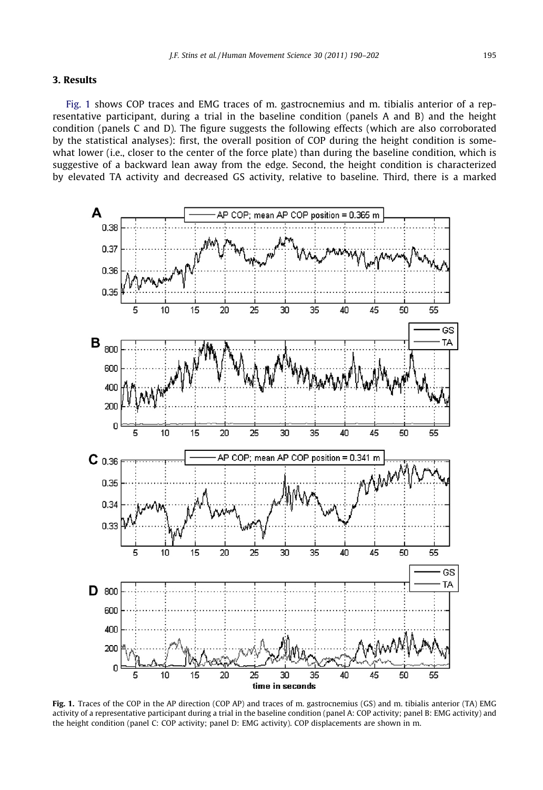## 3. Results

Fig. 1 shows COP traces and EMG traces of m. gastrocnemius and m. tibialis anterior of a representative participant, during a trial in the baseline condition (panels A and B) and the height condition (panels C and D). The figure suggests the following effects (which are also corroborated by the statistical analyses): first, the overall position of COP during the height condition is somewhat lower (i.e., closer to the center of the force plate) than during the baseline condition, which is suggestive of a backward lean away from the edge. Second, the height condition is characterized by elevated TA activity and decreased GS activity, relative to baseline. Third, there is a marked



Fig. 1. Traces of the COP in the AP direction (COP AP) and traces of m. gastrocnemius (GS) and m. tibialis anterior (TA) EMG activity of a representative participant during a trial in the baseline condition (panel A: COP activity; panel B: EMG activity) and the height condition (panel C: COP activity; panel D: EMG activity). COP displacements are shown in m.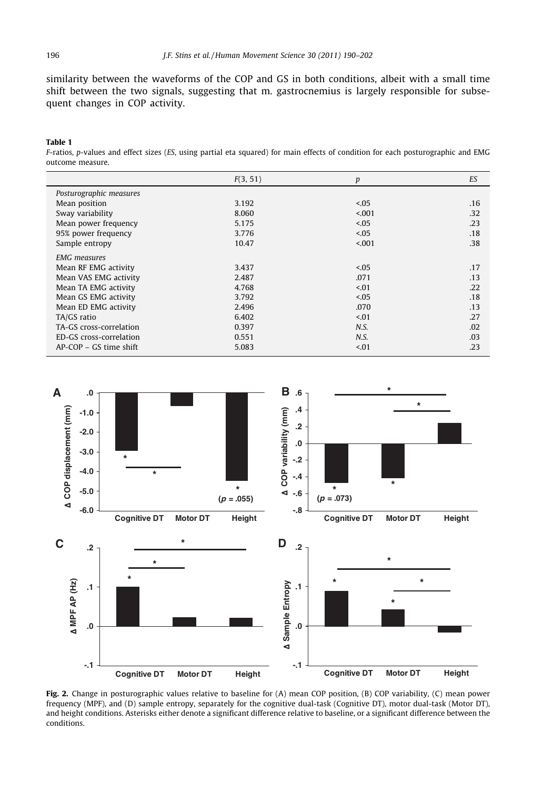<span id="page-6-0"></span>similarity between the waveforms of the COP and GS in both conditions, albeit with a small time shift between the two signals, suggesting that m. gastrocnemius is largely responsible for subsequent changes in COP activity.

#### Table 1

F-ratios, p-values and effect sizes (ES, using partial eta squared) for main effects of condition for each posturographic and EMG outcome measure.

|                          | F(3, 51) | p       | ES  |
|--------------------------|----------|---------|-----|
| Posturographic measures  |          |         |     |
| Mean position            | 3.192    | 5.05    | .16 |
| Sway variability         | 8.060    | < 0.001 | .32 |
| Mean power frequency     | 5.175    | 5.05    | .23 |
| 95% power frequency      | 3.776    | 5.05    | .18 |
| Sample entropy           | 10.47    | < 0.001 | .38 |
| <b>EMG</b> measures      |          |         |     |
| Mean RF EMG activity     | 3.437    | < 0.05  | .17 |
| Mean VAS EMG activity    | 2.487    | .071    | .13 |
| Mean TA EMG activity     | 4.768    | < 01    | .22 |
| Mean GS EMG activity     | 3.792    | < 0.05  | .18 |
| Mean ED EMG activity     | 2.496    | .070    | .13 |
| TA/GS ratio              | 6.402    | < 01    | .27 |
| TA-GS cross-correlation  | 0.397    | N.S.    | .02 |
| ED-GS cross-correlation  | 0.551    | N.S.    | .03 |
| $AP-COP - GS$ time shift | 5.083    | < 01    | .23 |



Fig. 2. Change in posturographic values relative to baseline for (A) mean COP position, (B) COP variability, (C) mean power frequency (MPF), and (D) sample entropy, separately for the cognitive dual-task (Cognitive DT), motor dual-task (Motor DT), and height conditions. Asterisks either denote a significant difference relative to baseline, or a significant difference between the conditions.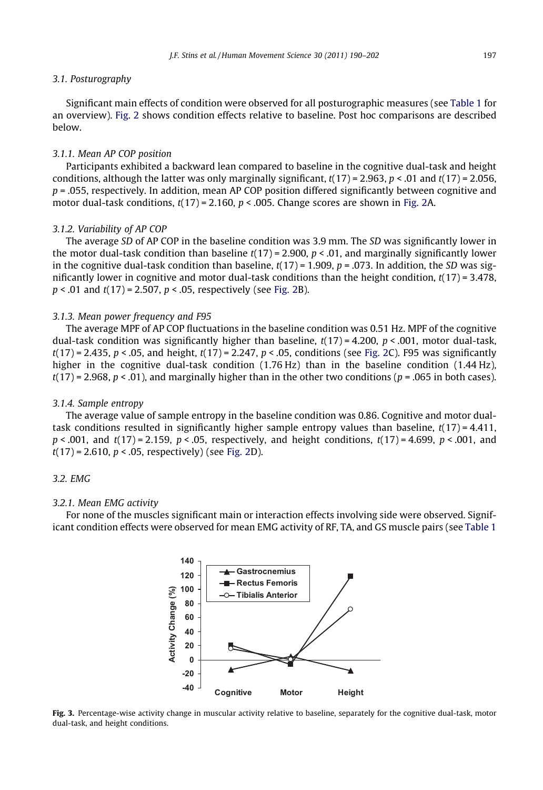#### <span id="page-7-0"></span>3.1. Posturography

Significant main effects of condition were observed for all posturographic measures (see [Table 1](#page-6-0) for an overview). [Fig. 2](#page-6-0) shows condition effects relative to baseline. Post hoc comparisons are described below.

#### 3.1.1. Mean AP COP position

Participants exhibited a backward lean compared to baseline in the cognitive dual-task and height conditions, although the latter was only marginally significant,  $t(17) = 2.963$ ,  $p < .01$  and  $t(17) = 2.056$ ,  $p = 0.055$ , respectively. In addition, mean AP COP position differed significantly between cognitive and motor dual-task conditions,  $t(17) = 2.160$ ,  $p < .005$ . Change scores are shown in [Fig. 2](#page-6-0)A.

## 3.1.2. Variability of AP COP

The average SD of AP COP in the baseline condition was 3.9 mm. The SD was significantly lower in the motor dual-task condition than baseline  $t(17) = 2.900$ ,  $p < .01$ , and marginally significantly lower in the cognitive dual-task condition than baseline,  $t(17) = 1.909$ ,  $p = .073$ . In addition, the SD was significantly lower in cognitive and motor dual-task conditions than the height condition,  $t(17) = 3.478$ ,  $p < .01$  and  $t(17) = 2.507$ ,  $p < .05$ , respectively (see [Fig. 2B](#page-6-0)).

#### 3.1.3. Mean power frequency and F95

The average MPF of AP COP fluctuations in the baseline condition was 0.51 Hz. MPF of the cognitive dual-task condition was significantly higher than baseline,  $t(17) = 4.200$ ,  $p < .001$ , motor dual-task,  $t(17) = 2.435$ ,  $p < .05$ , and height,  $t(17) = 2.247$ ,  $p < .05$ , conditions (see [Fig. 2C](#page-6-0)). F95 was significantly higher in the cognitive dual-task condition (1.76 Hz) than in the baseline condition (1.44 Hz),  $t(17) = 2.968$ ,  $p < .01$ ), and marginally higher than in the other two conditions ( $p = .065$  in both cases).

#### 3.1.4. Sample entropy

The average value of sample entropy in the baseline condition was 0.86. Cognitive and motor dualtask conditions resulted in significantly higher sample entropy values than baseline,  $t(17) = 4.411$ ,  $p < .001$ , and  $t(17) = 2.159$ ,  $p < .05$ , respectively, and height conditions,  $t(17) = 4.699$ ,  $p < .001$ , and  $t(17) = 2.610, p < .05$ , respectively) (see [Fig. 2](#page-6-0)D).

## 3.2. EMG

## 3.2.1. Mean EMG activity

For none of the muscles significant main or interaction effects involving side were observed. Significant condition effects were observed for mean EMG activity of RF, TA, and GS muscle pairs (see [Table 1](#page-6-0)



Fig. 3. Percentage-wise activity change in muscular activity relative to baseline, separately for the cognitive dual-task, motor dual-task, and height conditions.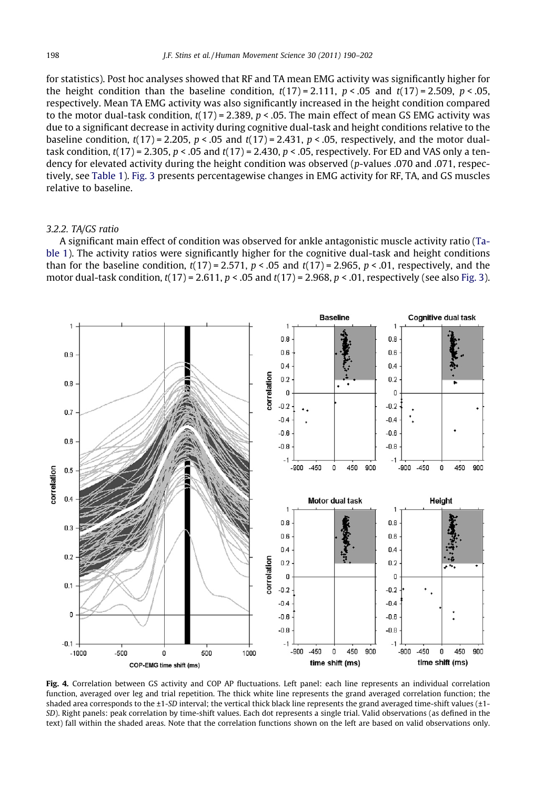<span id="page-8-0"></span>for statistics). Post hoc analyses showed that RF and TA mean EMG activity was significantly higher for the height condition than the baseline condition,  $t(17) = 2.111$ ,  $p < .05$  and  $t(17) = 2.509$ ,  $p < .05$ , respectively. Mean TA EMG activity was also significantly increased in the height condition compared to the motor dual-task condition,  $t(17) = 2.389$ ,  $p < .05$ . The main effect of mean GS EMG activity was due to a significant decrease in activity during cognitive dual-task and height conditions relative to the baseline condition,  $t(17) = 2.205$ ,  $p < .05$  and  $t(17) = 2.431$ ,  $p < .05$ , respectively, and the motor dualtask condition,  $t(17) = 2.305$ ,  $p < .05$  and  $t(17) = 2.430$ ,  $p < .05$ , respectively. For ED and VAS only a tendency for elevated activity during the height condition was observed (p-values .070 and .071, respectively, see [Table 1\)](#page-6-0). [Fig. 3](#page-7-0) presents percentagewise changes in EMG activity for RF, TA, and GS muscles relative to baseline.

## 3.2.2. TA/GS ratio

A significant main effect of condition was observed for ankle antagonistic muscle activity ratio [\(Ta](#page-6-0)[ble 1\)](#page-6-0). The activity ratios were significantly higher for the cognitive dual-task and height conditions than for the baseline condition,  $t(17) = 2.571$ ,  $p < .05$  and  $t(17) = 2.965$ ,  $p < .01$ , respectively, and the motor dual-task condition,  $t(17) = 2.611$ ,  $p < .05$  and  $t(17) = 2.968$ ,  $p < .01$ , respectively (see also [Fig. 3](#page-7-0)).



Fig. 4. Correlation between GS activity and COP AP fluctuations. Left panel: each line represents an individual correlation function, averaged over leg and trial repetition. The thick white line represents the grand averaged correlation function; the shaded area corresponds to the ±1-SD interval; the vertical thick black line represents the grand averaged time-shift values (±1- SD). Right panels: peak correlation by time-shift values. Each dot represents a single trial. Valid observations (as defined in the text) fall within the shaded areas. Note that the correlation functions shown on the left are based on valid observations only.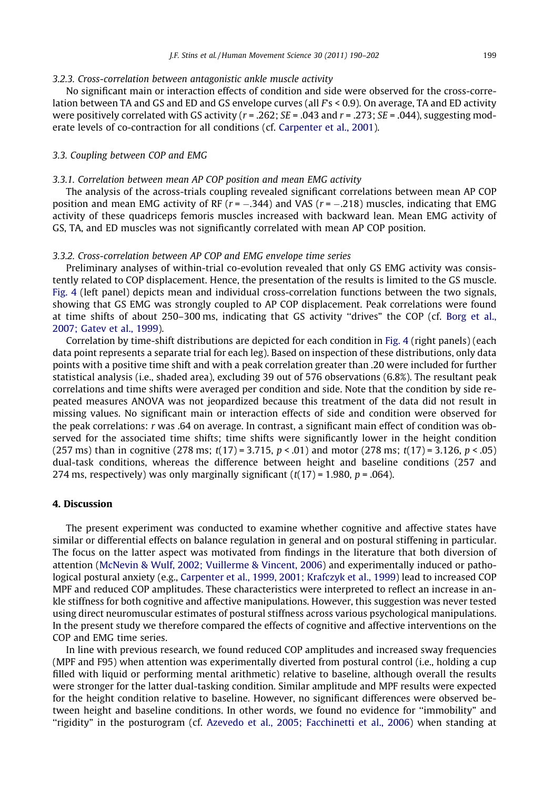#### 3.2.3. Cross-correlation between antagonistic ankle muscle activity

No significant main or interaction effects of condition and side were observed for the cross-correlation between TA and GS and ED and GS envelope curves (all  $Fs < 0.9$ ). On average, TA and ED activity were positively correlated with GS activity ( $r = .262$ ;  $SE = .043$  and  $r = .273$ ;  $SE = .044$ ), suggesting moderate levels of co-contraction for all conditions (cf. [Carpenter et al., 2001](#page-11-0)).

#### 3.3. Coupling between COP and EMG

## 3.3.1. Correlation between mean AP COP position and mean EMG activity

The analysis of the across-trials coupling revealed significant correlations between mean AP COP position and mean EMG activity of RF  $(r = -.344)$  and VAS  $(r = -.218)$  muscles, indicating that EMG activity of these quadriceps femoris muscles increased with backward lean. Mean EMG activity of GS, TA, and ED muscles was not significantly correlated with mean AP COP position.

#### 3.3.2. Cross-correlation between AP COP and EMG envelope time series

Preliminary analyses of within-trial co-evolution revealed that only GS EMG activity was consistently related to COP displacement. Hence, the presentation of the results is limited to the GS muscle. [Fig. 4](#page-8-0) (left panel) depicts mean and individual cross-correlation functions between the two signals, showing that GS EMG was strongly coupled to AP COP displacement. Peak correlations were found at time shifts of about 250–300 ms, indicating that GS activity ''drives" the COP (cf. [Borg et al.,](#page-11-0) [2007; Gatev et al., 1999](#page-11-0)).

Correlation by time-shift distributions are depicted for each condition in [Fig. 4](#page-8-0) (right panels) (each data point represents a separate trial for each leg). Based on inspection of these distributions, only data points with a positive time shift and with a peak correlation greater than .20 were included for further statistical analysis (i.e., shaded area), excluding 39 out of 576 observations (6.8%). The resultant peak correlations and time shifts were averaged per condition and side. Note that the condition by side repeated measures ANOVA was not jeopardized because this treatment of the data did not result in missing values. No significant main or interaction effects of side and condition were observed for the peak correlations: r was .64 on average. In contrast, a significant main effect of condition was observed for the associated time shifts; time shifts were significantly lower in the height condition (257 ms) than in cognitive (278 ms;  $t(17) = 3.715$ ,  $p < .01$ ) and motor (278 ms;  $t(17) = 3.126$ ,  $p < .05$ ) dual-task conditions, whereas the difference between height and baseline conditions (257 and 274 ms, respectively) was only marginally significant  $(t(17) = 1.980, p = .064)$ .

### 4. Discussion

The present experiment was conducted to examine whether cognitive and affective states have similar or differential effects on balance regulation in general and on postural stiffening in particular. The focus on the latter aspect was motivated from findings in the literature that both diversion of attention ([McNevin & Wulf, 2002; Vuillerme & Vincent, 2006\)](#page-12-0) and experimentally induced or pathological postural anxiety (e.g., [Carpenter et al., 1999, 2001; Krafczyk et al., 1999](#page-11-0)) lead to increased COP MPF and reduced COP amplitudes. These characteristics were interpreted to reflect an increase in ankle stiffness for both cognitive and affective manipulations. However, this suggestion was never tested using direct neuromuscular estimates of postural stiffness across various psychological manipulations. In the present study we therefore compared the effects of cognitive and affective interventions on the COP and EMG time series.

In line with previous research, we found reduced COP amplitudes and increased sway frequencies (MPF and F95) when attention was experimentally diverted from postural control (i.e., holding a cup filled with liquid or performing mental arithmetic) relative to baseline, although overall the results were stronger for the latter dual-tasking condition. Similar amplitude and MPF results were expected for the height condition relative to baseline. However, no significant differences were observed between height and baseline conditions. In other words, we found no evidence for ''immobility" and ''rigidity" in the posturogram (cf. [Azevedo et al., 2005; Facchinetti et al., 2006](#page-11-0)) when standing at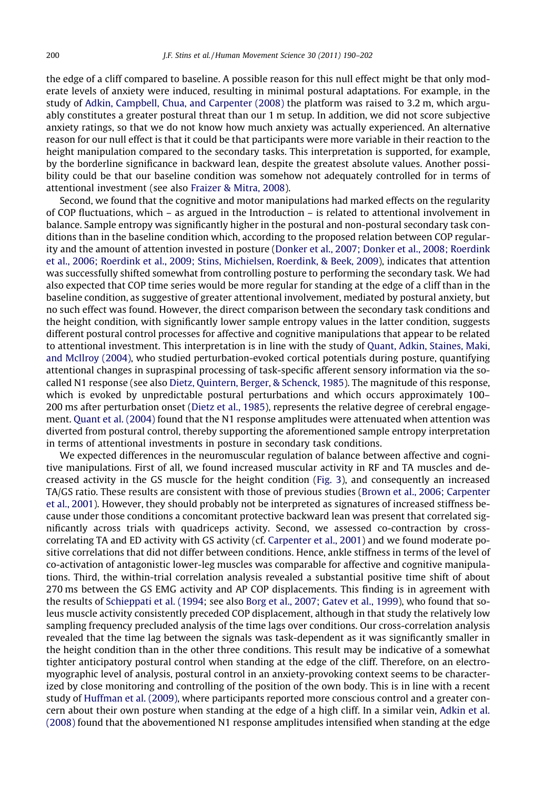the edge of a cliff compared to baseline. A possible reason for this null effect might be that only moderate levels of anxiety were induced, resulting in minimal postural adaptations. For example, in the study of [Adkin, Campbell, Chua, and Carpenter \(2008\)](#page-11-0) the platform was raised to 3.2 m, which arguably constitutes a greater postural threat than our 1 m setup. In addition, we did not score subjective anxiety ratings, so that we do not know how much anxiety was actually experienced. An alternative reason for our null effect is that it could be that participants were more variable in their reaction to the height manipulation compared to the secondary tasks. This interpretation is supported, for example, by the borderline significance in backward lean, despite the greatest absolute values. Another possibility could be that our baseline condition was somehow not adequately controlled for in terms of attentional investment (see also [Fraizer & Mitra, 2008\)](#page-11-0).

Second, we found that the cognitive and motor manipulations had marked effects on the regularity of COP fluctuations, which – as argued in the Introduction – is related to attentional involvement in balance. Sample entropy was significantly higher in the postural and non-postural secondary task conditions than in the baseline condition which, according to the proposed relation between COP regularity and the amount of attention invested in posture [\(Donker et al., 2007; Donker et al., 2008; Roerdink](#page-11-0) [et al., 2006; Roerdink et al., 2009; Stins, Michielsen, Roerdink, & Beek, 2009](#page-11-0)), indicates that attention was successfully shifted somewhat from controlling posture to performing the secondary task. We had also expected that COP time series would be more regular for standing at the edge of a cliff than in the baseline condition, as suggestive of greater attentional involvement, mediated by postural anxiety, but no such effect was found. However, the direct comparison between the secondary task conditions and the height condition, with significantly lower sample entropy values in the latter condition, suggests different postural control processes for affective and cognitive manipulations that appear to be related to attentional investment. This interpretation is in line with the study of [Quant, Adkin, Staines, Maki,](#page-12-0) [and McIlroy \(2004\),](#page-12-0) who studied perturbation-evoked cortical potentials during posture, quantifying attentional changes in supraspinal processing of task-specific afferent sensory information via the socalled N1 response (see also [Dietz, Quintern, Berger, & Schenck, 1985\)](#page-11-0). The magnitude of this response, which is evoked by unpredictable postural perturbations and which occurs approximately 100– 200 ms after perturbation onset [\(Dietz et al., 1985](#page-11-0)), represents the relative degree of cerebral engagement. [Quant et al. \(2004\)](#page-12-0) found that the N1 response amplitudes were attenuated when attention was diverted from postural control, thereby supporting the aforementioned sample entropy interpretation in terms of attentional investments in posture in secondary task conditions.

We expected differences in the neuromuscular regulation of balance between affective and cognitive manipulations. First of all, we found increased muscular activity in RF and TA muscles and decreased activity in the GS muscle for the height condition [\(Fig. 3](#page-7-0)), and consequently an increased TA/GS ratio. These results are consistent with those of previous studies ([Brown et al., 2006; Carpenter](#page-11-0) [et al., 2001\)](#page-11-0). However, they should probably not be interpreted as signatures of increased stiffness because under those conditions a concomitant protective backward lean was present that correlated significantly across trials with quadriceps activity. Second, we assessed co-contraction by crosscorrelating TA and ED activity with GS activity (cf. [Carpenter et al., 2001\)](#page-11-0) and we found moderate positive correlations that did not differ between conditions. Hence, ankle stiffness in terms of the level of co-activation of antagonistic lower-leg muscles was comparable for affective and cognitive manipulations. Third, the within-trial correlation analysis revealed a substantial positive time shift of about 270 ms between the GS EMG activity and AP COP displacements. This finding is in agreement with the results of [Schieppati et al. \(1994](#page-12-0); see also [Borg et al., 2007; Gatev et al., 1999](#page-11-0)), who found that soleus muscle activity consistently preceded COP displacement, although in that study the relatively low sampling frequency precluded analysis of the time lags over conditions. Our cross-correlation analysis revealed that the time lag between the signals was task-dependent as it was significantly smaller in the height condition than in the other three conditions. This result may be indicative of a somewhat tighter anticipatory postural control when standing at the edge of the cliff. Therefore, on an electromyographic level of analysis, postural control in an anxiety-provoking context seems to be characterized by close monitoring and controlling of the position of the own body. This is in line with a recent study of [Huffman et al. \(2009\),](#page-11-0) where participants reported more conscious control and a greater concern about their own posture when standing at the edge of a high cliff. In a similar vein, [Adkin et al.](#page-11-0) [\(2008\)](#page-11-0) found that the abovementioned N1 response amplitudes intensified when standing at the edge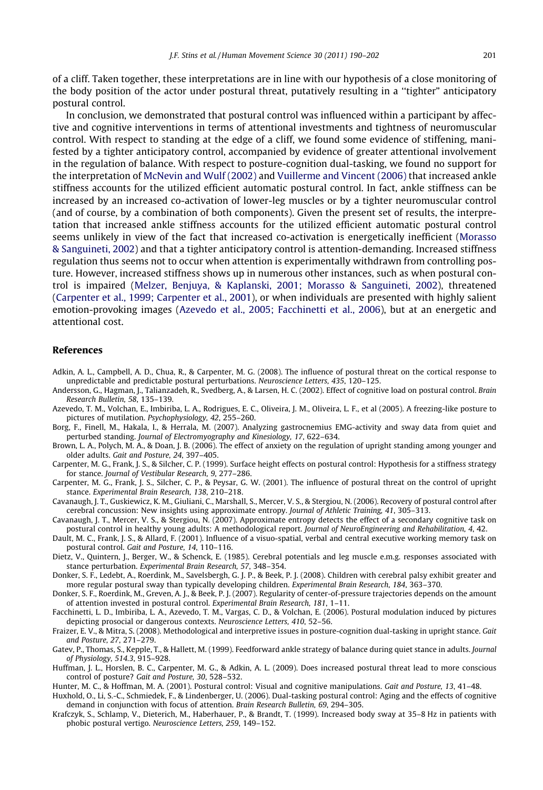<span id="page-11-0"></span>of a cliff. Taken together, these interpretations are in line with our hypothesis of a close monitoring of the body position of the actor under postural threat, putatively resulting in a ''tighter" anticipatory postural control.

In conclusion, we demonstrated that postural control was influenced within a participant by affective and cognitive interventions in terms of attentional investments and tightness of neuromuscular control. With respect to standing at the edge of a cliff, we found some evidence of stiffening, manifested by a tighter anticipatory control, accompanied by evidence of greater attentional involvement in the regulation of balance. With respect to posture-cognition dual-tasking, we found no support for the interpretation of [McNevin and Wulf \(2002\)](#page-12-0) and [Vuillerme and Vincent \(2006\)](#page-12-0) that increased ankle stiffness accounts for the utilized efficient automatic postural control. In fact, ankle stiffness can be increased by an increased co-activation of lower-leg muscles or by a tighter neuromuscular control (and of course, by a combination of both components). Given the present set of results, the interpretation that increased ankle stiffness accounts for the utilized efficient automatic postural control seems unlikely in view of the fact that increased co-activation is energetically inefficient [\(Morasso](#page-12-0) [& Sanguineti, 2002](#page-12-0)) and that a tighter anticipatory control is attention-demanding. Increased stiffness regulation thus seems not to occur when attention is experimentally withdrawn from controlling posture. However, increased stiffness shows up in numerous other instances, such as when postural control is impaired ([Melzer, Benjuya, & Kaplanski, 2001; Morasso & Sanguineti, 2002](#page-12-0)), threatened (Carpenter et al., 1999; Carpenter et al., 2001), or when individuals are presented with highly salient emotion-provoking images (Azevedo et al., 2005; Facchinetti et al., 2006), but at an energetic and attentional cost.

#### References

- Adkin, A. L., Campbell, A. D., Chua, R., & Carpenter, M. G. (2008). The influence of postural threat on the cortical response to unpredictable and predictable postural perturbations. Neuroscience Letters, 435, 120–125.
- Andersson, G., Hagman, J., Talianzadeh, R., Svedberg, A., & Larsen, H. C. (2002). Effect of cognitive load on postural control. Brain Research Bulletin, 58, 135–139.
- Azevedo, T. M., Volchan, E., Imbiriba, L. A., Rodrigues, E. C., Oliveira, J. M., Oliveira, L. F., et al (2005). A freezing-like posture to pictures of mutilation. Psychophysiology, 42, 255–260.
- Borg, F., Finell, M., Hakala, I., & Herrala, M. (2007). Analyzing gastrocnemius EMG-activity and sway data from quiet and perturbed standing. Journal of Electromyography and Kinesiology, 17, 622–634.
- Brown, L. A., Polych, M. A., & Doan, J. B. (2006). The effect of anxiety on the regulation of upright standing among younger and older adults. Gait and Posture, 24, 397–405.
- Carpenter, M. G., Frank, J. S., & Silcher, C. P. (1999). Surface height effects on postural control: Hypothesis for a stiffness strategy for stance. Journal of Vestibular Research, 9, 277–286.
- Carpenter, M. G., Frank, J. S., Silcher, C. P., & Peysar, G. W. (2001). The influence of postural threat on the control of upright stance. Experimental Brain Research, 138, 210–218.
- Cavanaugh, J. T., Guskiewicz, K. M., Giuliani, C., Marshall, S., Mercer, V. S., & Stergiou, N. (2006). Recovery of postural control after cerebral concussion: New insights using approximate entropy. Journal of Athletic Training, 41, 305–313.
- Cavanaugh, J. T., Mercer, V. S., & Stergiou, N. (2007). Approximate entropy detects the effect of a secondary cognitive task on postural control in healthy young adults: A methodological report. Journal of NeuroEngineering and Rehabilitation, 4, 42.
- Dault, M. C., Frank, J. S., & Allard, F. (2001). Influence of a visuo-spatial, verbal and central executive working memory task on postural control. Gait and Posture, 14, 110–116.
- Dietz, V., Quintern, J., Berger, W., & Schenck, E. (1985). Cerebral potentials and leg muscle e.m.g. responses associated with stance perturbation. Experimental Brain Research, 57, 348–354.
- Donker, S. F., Ledebt, A., Roerdink, M., Savelsbergh, G. J. P., & Beek, P. J. (2008). Children with cerebral palsy exhibit greater and more regular postural sway than typically developing children. Experimental Brain Research, 184, 363–370.
- Donker, S. F., Roerdink, M., Greven, A. J., & Beek, P. J. (2007). Regularity of center-of-pressure trajectories depends on the amount of attention invested in postural control. Experimental Brain Research, 181, 1–11.
- Facchinetti, L. D., Imbiriba, L. A., Azevedo, T. M., Vargas, C. D., & Volchan, E. (2006). Postural modulation induced by pictures depicting prosocial or dangerous contexts. Neuroscience Letters, 410, 52–56.
- Fraizer, E. V., & Mitra, S. (2008). Methodological and interpretive issues in posture-cognition dual-tasking in upright stance. Gait and Posture, 27, 271–279.
- Gatev, P., Thomas, S., Kepple, T., & Hallett, M. (1999). Feedforward ankle strategy of balance during quiet stance in adults. Journal of Physiology, 514.3, 915–928.
- Huffman, J. L., Horslen, B. C., Carpenter, M. G., & Adkin, A. L. (2009). Does increased postural threat lead to more conscious control of posture? Gait and Posture, 30, 528–532.
- Hunter, M. C., & Hoffman, M. A. (2001). Postural control: Visual and cognitive manipulations. Gait and Posture, 13, 41–48.
- Huxhold, O., Li, S.-C., Schmiedek, F., & Lindenberger, U. (2006). Dual-tasking postural control: Aging and the effects of cognitive demand in conjunction with focus of attention. Brain Research Bulletin, 69, 294–305.
- Krafczyk, S., Schlamp, V., Dieterich, M., Haberhauer, P., & Brandt, T. (1999). Increased body sway at 35–8 Hz in patients with phobic postural vertigo. Neuroscience Letters, 259, 149–152.